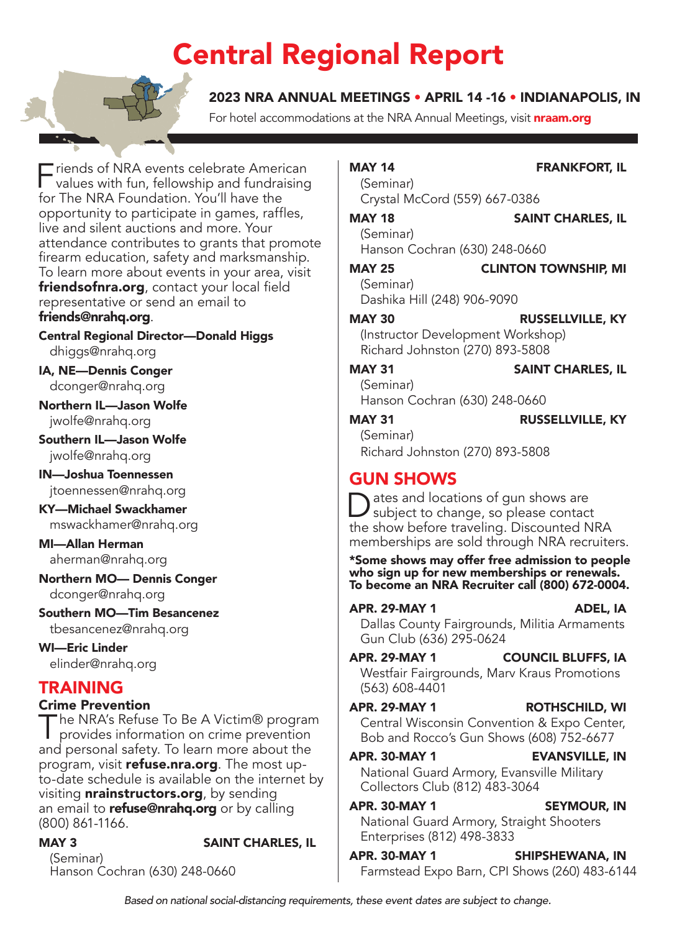## Central Regional Report

#### 2023 NRA ANNUAL MEETINGS • APRIL 14 -16 • INDIANAPOLIS, IN

For hotel accommodations at the NRA Annual Meetings, visit **[nraam.org](http://nraam.org)** 

 $\overline{\phantom{a}}$  riends of NRA events celebrate American values with fun, fellowship and fundraising for The NRA Foundation. You'll have the opportunity to participate in games, raffles, live and silent auctions and more. Your attendance contributes to grants that promote firearm education, safety and marksmanship. To learn more about events in your area, visit [friendsofnra.org](http://friendsofnra.org), contact your local field representative or send an email to [friends@nrahq.org](mailto:friends@nrahq.org).

Central Regional Director—Donald Higgs [dhiggs@nrahq.org](file:///C:\Users\bbchi\Downloads\Work%20From%20Home%20Files\Regional%20Report%20Templates\dhiggs@nrahq.org)

IA, NE—Dennis Conger [dconger@nrahq.org](mailto:dconger@nrahq.org)

Northern IL—Jason Wolfe [jwolfe@nrahq.org](mailto:jwolfe@nrahq.org)

Southern IL—Jason Wolfe [jwolfe@nrahq.org](mailto:jwolfe@nrahq.org)

IN—Joshua Toennessen [jtoennessen@nrahq.org](mailto:jtoennessen@nrahq.org)

KY—Michael Swackhamer [mswackhamer@nrahq.org](mailto:mswackhamer@nrahq.org)

MI—Allan Herman [aherman@nrahq.org](mailto:aherman@nrahq.org)

Northern MO— Dennis Conger [dconger@nrahq.org](mailto:dconger@nrahq.org)

Southern MO—Tim Besancenez [tbesancenez@nrahq.org](mailto:tbesancenez@nrahq.org)

WI—Eric Linder [elinder@nrahq.org](mailto:elinder@nrahq.org)

### TRAINING

**Crime Prevention**<br>The NRA's Refuse To Be A Victim® program The NRA's Refuse To Be A Victim® program<br>
provides information on crime prevention and personal safety. To learn more about the program, visit [refuse.nra.org](http://refuse.nra.org). The most upto-date schedule is available on the internet by visiting **[nrainstructors.org](http://nrainstructors.org)**, by sending an email to **[refuse@nrahq.org](mailto:refuse@nrahq.org)** or by calling (800) 861-1166.

MAY 3 SAINT CHARLES, IL

(Seminar) Hanson Cochran (630) 248-0660

#### MAY 14 FRANKFORT, IL

(Seminar) Crystal McCord (559) 667-0386

#### MAY 18 SAINT CHARLES, IL

(Seminar) Hanson Cochran (630) 248-0660

#### MAY 25 CLINTON TOWNSHIP, MI (Seminar)

Dashika Hill (248) 906-9090

#### MAY 30 RUSSELLVILLE, KY

(Instructor Development Workshop) Richard Johnston (270) 893-5808

#### MAY 31 SAINT CHARLES, IL

(Seminar) Hanson Cochran (630) 248-0660

#### MAY 31 RUSSELLVILLE, KY

(Seminar) Richard Johnston (270) 893-5808

### GUN SHOWS

Dates and locations of gun shows are<br>subject to change, so please contact the show before traveling. Discounted NRA memberships are sold through NRA recruiters.

\*Some shows may offer free admission to people who sign up for new memberships or renewals. To become an NRA Recruiter call (800) 672-0004.

### APR. 29-MAY 1 ADEL, IA

Dallas County Fairgrounds, Militia Armaments

Gun Club (636) 295-0624 APR. 29-MAY 1 COUNCIL BLUFFS, IA Westfair Fairgrounds, Marv Kraus Promotions

(563) 608-4401

#### APR. 29-MAY 1 ROTHSCHILD, WI

Central Wisconsin Convention & Expo Center, Bob and Rocco's Gun Shows (608) 752-6677

APR. 30-MAY 1 EVANSVILLE, IN National Guard Armory, Evansville Military Collectors Club (812) 483-3064

#### APR. 30-MAY 1 SEYMOUR, IN National Guard Armory, Straight Shooters Enterprises (812) 498-3833

APR. 30-MAY 1 SHIPSHEWANA, IN Farmstead Expo Barn, CPI Shows (260) 483-6144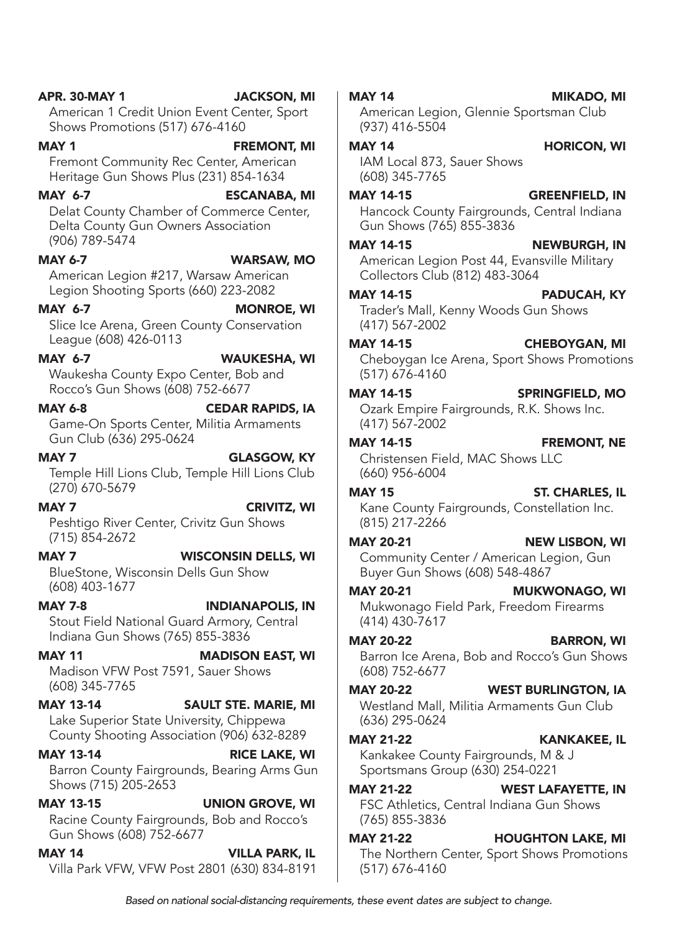# (608) 403-1677 (608) 752-6677 MAY 21-22 KANKAKEE, IL

MAY 14 VILLA PARK, IL Villa Park VFW, VFW Post 2801 (630) 834-8191

American 1 Credit Union Event Center, Sport Shows Promotions (517) 676-4160

#### MAY 1 **FREMONT, MI** Fremont Community Rec Center, American Heritage Gun Shows Plus (231) 854-1634

MAY 6-7 ESCANABA, MI Delat County Chamber of Commerce Center, Delta County Gun Owners Association (906) 789-5474

MAY 6-7 WARSAW, MO

American Legion #217, Warsaw American Legion Shooting Sports (660) 223-2082

MAY 6-7 MONROE, WI Slice Ice Arena, Green County Conservation League (608) 426-0113

MAY 6-7 WAUKESHA, WI

Waukesha County Expo Center, Bob and Rocco's Gun Shows (608) 752-6677

#### MAY 6-8 CEDAR RAPIDS, IA

Game-On Sports Center, Militia Armaments Gun Club (636) 295-0624

#### MAY 7 GLASGOW, KY

Temple Hill Lions Club, Temple Hill Lions Club (270) 670-5679

MAY 7 CRIVITZ, WI

Peshtigo River Center, Crivitz Gun Shows (715) 854-2672

MAY 7 WISCONSIN DELLS, WI BlueStone, Wisconsin Dells Gun Show

MAY 7-8 INDIANAPOLIS, IN Stout Field National Guard Armory, Central Indiana Gun Shows (765) 855-3836

MAY 11 MADISON EAST, WI Madison VFW Post 7591, Sauer Shows (608) 345-7765

MAY 13-14 SAULT STE. MARIE, MI Lake Superior State University, Chippewa County Shooting Association (906) 632-8289

MAY 13-14 RICE LAKE, WI Barron County Fairgrounds, Bearing Arms Gun Shows (715) 205-2653

MAY 13-15 UNION GROVE, WI Racine County Fairgrounds, Bob and Rocco's Gun Shows (608) 752-6677

#### American Legion, Glennie Sportsman Club (937) 416-5504

MAY 14 **HORICON, WI** 

IAM Local 873, Sauer Shows (608) 345-7765

#### MAY 14-15 GREENFIELD, IN

Hancock County Fairgrounds, Central Indiana Gun Shows (765) 855-3836

#### MAY 14-15 NEWBURGH, IN

American Legion Post 44, Evansville Military Collectors Club (812) 483-3064

#### MAY 14-15 PADUCAH, KY

Trader's Mall, Kenny Woods Gun Shows (417) 567-2002

#### MAY 14-15 CHEBOYGAN, MI

Cheboygan Ice Arena, Sport Shows Promotions (517) 676-4160

#### MAY 14-15 SPRINGFIELD, MO Ozark Empire Fairgrounds, R.K. Shows Inc.

(417) 567-2002

#### MAY 14-15 FREMONT, NE

Christensen Field, MAC Shows LLC (660) 956-6004

### MAY 15 ST. CHARLES, IL

Kane County Fairgrounds, Constellation Inc. (815) 217-2266

### MAY 20-21 NEW LISBON, WI

Community Center / American Legion, Gun Buyer Gun Shows (608) 548-4867

#### MAY 20-21 MUKWONAGO, WI Mukwonago Field Park, Freedom Firearms (414) 430-7617

MAY 20-22 BARRON, WI Barron Ice Arena, Bob and Rocco's Gun Shows

### MAY 20-22 WEST BURLINGTON, IA

Westland Mall, Militia Armaments Gun Club (636) 295-0624

Kankakee County Fairgrounds, M & J Sportsmans Group (630) 254-0221

#### MAY 21-22 WEST LAFAYETTE, IN

FSC Athletics, Central Indiana Gun Shows (765) 855-3836

#### MAY 21-22 HOUGHTON LAKE, MI The Northern Center, Sport Shows Promotions (517) 676-4160

#### MAY 14 MIKADO, MI

APR. 30-MAY 1 JACKSON, MI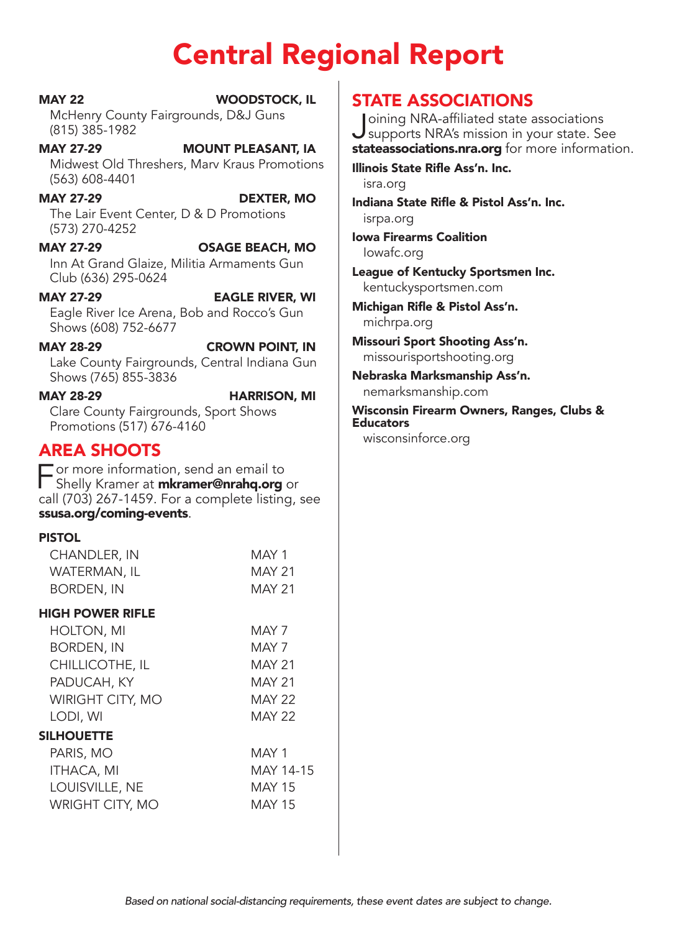## Central Regional Report

MAY 22 WOODSTOCK, IL McHenry County Fairgrounds, D&J Guns (815) 385-1982

MAY 27-29 MOUNT PLEASANT, IA Midwest Old Threshers, Marv Kraus Promotions (563) 608-4401

MAY 27-29 DEXTER, MO The Lair Event Center, D & D Promotions (573) 270-4252

MAY 27-29 OSAGE BEACH, MO Inn At Grand Glaize, Militia Armaments Gun Club (636) 295-0624

MAY 27-29 EAGLE RIVER, WI Eagle River Ice Arena, Bob and Rocco's Gun Shows (608) 752-6677

MAY 28-29 CROWN POINT, IN Lake County Fairgrounds, Central Indiana Gun Shows (765) 855-3836

MAY 28-29 HARRISON, MI Clare County Fairgrounds, Sport Shows Promotions (517) 676-4160

### AREA SHOOTS

 $\Box$  or more informa[tion, send an email to](mailto:mkramer@nrahq.org) Shelly Kramer at *mkramer@nrahq.org* or call (703) 267-1459. For a complete listing, see [ssusa.org/coming-events](http://ssusa.org/coming-events).

#### PISTOL

| CHANDLER, IN     | MAY 1         |
|------------------|---------------|
| WATERMAN, IL     | <b>MAY 21</b> |
| BORDEN, IN       | MAY 21        |
|                  |               |
| HIGH POWER RIFLE |               |
| HOLTON, MI       | MAY 7         |

| CHILLICOTHE, IL         | <b>MAY 21</b> |
|-------------------------|---------------|
| PADUCAH, KY             | <b>MAY 21</b> |
| <b>WIRIGHT CITY, MO</b> | <b>MAY 22</b> |
| LODI, WI                | <b>MAY 22</b> |
| <b>SILHOUETTE</b>       |               |
| PARIS, MO               | MAY 1         |
| <b>ITHACA, MI</b>       | MAY 14-15     |
| LOUISVILLE, NE          | <b>MAY 15</b> |

WRIGHT CITY, MO
MAY 15

**STATE ASSOCIATIONS**<br>| Joining NRA-affiliated state associations Joining NRA-affiliated state associations<br>supports NRA's mission in your state. See [stateassociations.nra.org](http://stateassociations.nra.org) for more information.

Illinois State Rifle Ass'n. Inc. [isra.org](http://isra.org)

Indiana State Rifle & Pistol Ass'n. Inc. [isrpa.org](http://isrpa.org)

Iowa Firearms Coalition [Iowafc.org](http://Iowafc.org)

League of Kentucky Sportsmen Inc. [kentuckysportsmen.com](http://kentuckysportsmen.com)

Michigan Rifle & Pistol Ass'n. [michrpa.org](http://michrpa.org)

Missouri Sport Shooting Ass'n. [missourisportshooting.org](http://missourisportshooting.org)

Nebraska Marksmanship Ass'n. [nemarksmanship.com](http://nemarksmanship.com)

Wisconsin Firearm Owners, Ranges, Clubs & **Educators** 

[wisconsinforce.org](http://wisconsinforce.org)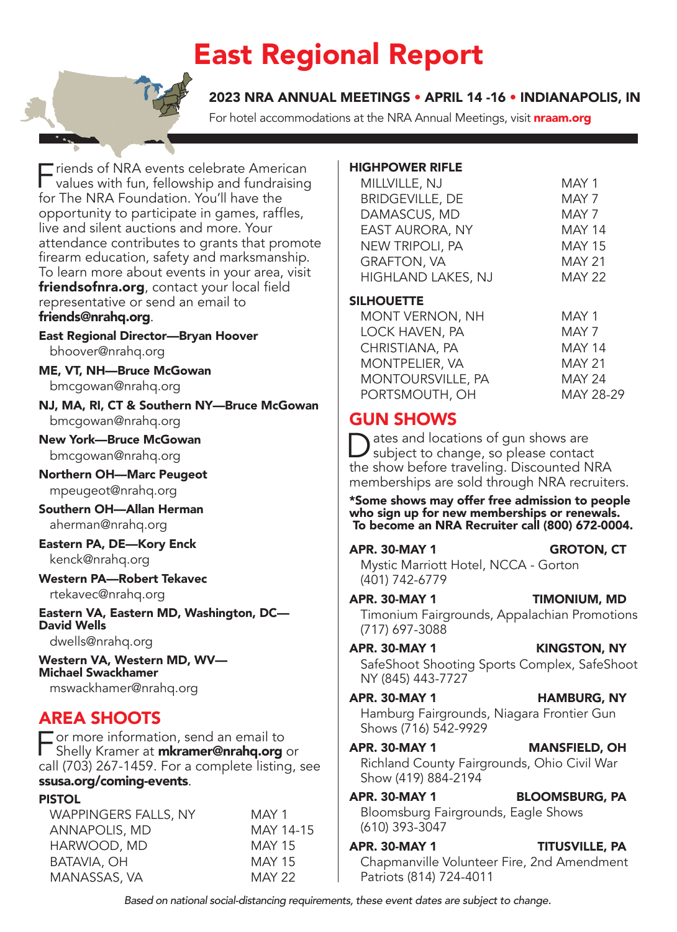## East Regional Report

2023 NRA ANNUAL MEETINGS • APRIL 14 -16 • INDIANAPOLIS, IN

For hotel accommodations at the NRA Annual Meetings, visit **[nraam.org](http://nraam.org)** 

Friends of NRA events celebrate American<br>
values with fun, fellowship and fundraising for The NRA Foundation. You'll have the opportunity to participate in games, raffles, live and silent auctions and more. Your attendance contributes to grants that promote firearm education, safety and marksmanship. To learn more about events in your area, visit [friendsofnra.org](http://friendsofnra.org), contact your local field representative or send an email to [friends@nrahq.org](mailto:friends@nrahq.org).

East Regional Director—Bryan Hoover [bhoover@nrahq.org](mailto:bhoover@nrahq.org)

ME, VT, NH—Bruce McGowan [bmcgowan@nrahq.org](mailto:bmcgowan@nrahq.org)

NJ, MA, RI, CT & Southern NY—Bruce McGowan [bmcgowan@nrahq.org](mailto:bmcgowan@nrahq.org)

New York—Bruce McGowan [bmcgowan@nrahq.org](mailto:bmcgowan@nrahq.org)

Northern OH—Marc Peugeot [mpeugeot@nrahq.org](mailto:mpeugeot@nrahq.org)

Southern OH—Allan Herman [aherman@nrahq.org](mailto:aherman@nrahq.org)

Eastern PA, DE—Kory Enck [kenck@nrahq.org](mailto:kenck@nrahq.org)

### Western PA—Robert Tekavec

[rtekavec@nrahq.org](mailto:rtekavec@nrahq.org)

Eastern VA, Eastern MD, Washington, DC— David Wells

[dwells@nrahq.org](mailto:dwells@nrahq.org)

Western VA, Western MD, WV— Michael Swackhamer [mswackhamer@nrahq.org](mailto:mswackhamer@nrahq.org)

### AREA SHOOTS

 $\blacksquare$  or more informa[tion, send an email to](mailto:mkramer@nrahq.org) Shelly Kramer at **mkramer@nrahq.org** or call (703) 267-1459. For a complete listing, see [ssusa.org/coming-events](http://ssusa.org/coming-events).

#### PISTOL

WAPPINGERS FALLS, NY MAY 1 ANNAPOLIS, MD
MAY 14-15 HARWOOD, MD MAY 15 BATAVIA, OH MAY 15 MANASSAS, VA MAY 22

#### HIGHPOWER RIFLE

| MILLVILLE, NJ          | MAY 1         |
|------------------------|---------------|
| <b>BRIDGEVILLE, DE</b> | MAY 7         |
| DAMASCUS, MD           | MAY 7         |
| EAST AURORA, NY        | <b>MAY 14</b> |
| NEW TRIPOLI, PA        | <b>MAY 15</b> |
| <b>GRAFTON, VA</b>     | <b>MAY 21</b> |
| HIGHLAND LAKES, NJ     | <b>MAY 22</b> |
|                        |               |

#### **SILHOUETTE**

| <b>MONT VERNON, NH</b>   | MAY 1         |
|--------------------------|---------------|
| LOCK HAVEN, PA           | MAY 7         |
| CHRISTIANA, PA           | <b>MAY 14</b> |
| <b>MONTPELIER, VA</b>    | <b>MAY 21</b> |
| <b>MONTOURSVILLE, PA</b> | <b>MAY 24</b> |
| PORTSMOUTH, OH           | MAY 28-29     |

### GUN SHOWS

Dates and locations of gun shows are<br>subject to change, so please contact the show before traveling. Discounted NRA memberships are sold through NRA recruiters.

\*Some shows may offer free admission to people who sign up for new memberships or renewals. To become an NRA Recruiter call (800) 672-0004.

#### APR. 30-MAY 1 GROTON, CT Mystic Marriott Hotel, NCCA - Gorton (401) 742-6779

APR. 30-MAY 1 TIMONIUM, MD Timonium Fairgrounds, Appalachian Promotions (717) 697-3088

APR. 30-MAY 1 KINGSTON, NY SafeShoot Shooting Sports Complex, SafeShoot NY (845) 443-7727

APR. 30-MAY 1 HAMBURG, NY Hamburg Fairgrounds, Niagara Frontier Gun Shows (716) 542-9929

APR. 30-MAY 1 MANSFIELD, OH Richland County Fairgrounds, Ohio Civil War Show (419) 884-2194

APR. 30-MAY 1 BLOOMSBURG, PA Bloomsburg Fairgrounds, Eagle Shows (610) 393-3047

APR. 30-MAY 1 TITUSVILLE, PA Chapmanville Volunteer Fire, 2nd Amendment Patriots (814) 724-4011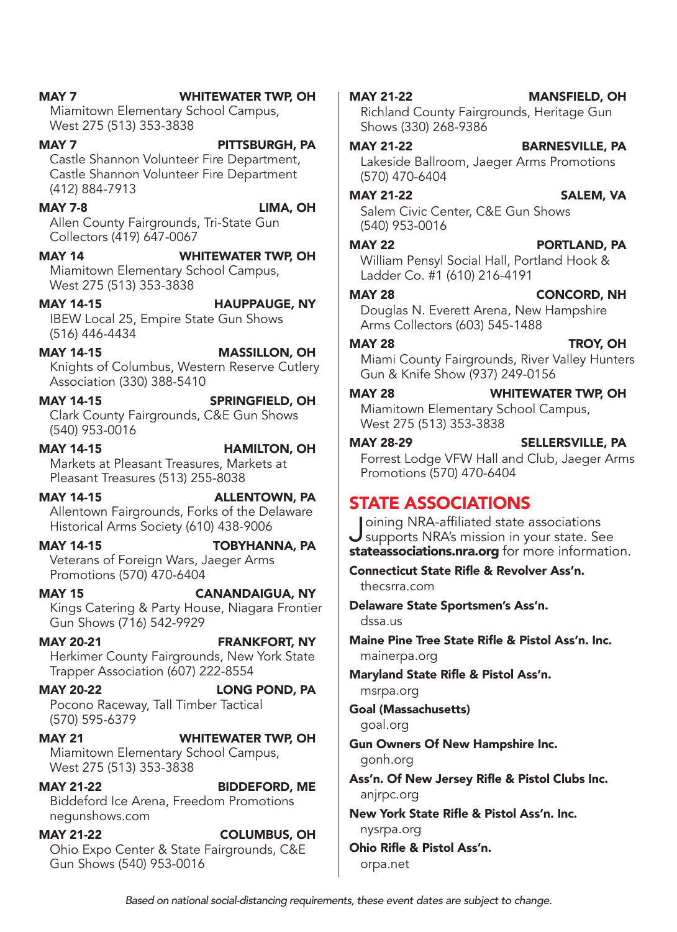| <b>MAY 20-22</b><br>(570) 595-6379           | <b>LONG POND, PA</b><br>Pocono Raceway, Tall Timber Tactical     | msrpa.org<br><b>Goal (Massachuse</b><br>goal.org          |
|----------------------------------------------|------------------------------------------------------------------|-----------------------------------------------------------|
| <b>MAY 21</b><br>West 275 (513) 353-3838     | <b>WHITEWATER TWP, OH</b><br>Miamitown Elementary School Campus, | <b>Gun Owners Of N</b><br>gonh.org                        |
| <b>MAY 21-22</b><br>negunshows.com           | <b>BIDDEFORD, ME</b><br>Biddeford Ice Arena, Freedom Promotions  | Ass'n. Of New Je<br>anjrpc.org<br><b>New York State R</b> |
| <b>MAY 21-22</b><br>Gun Shows (540) 953-0016 | <b>COLUMBUS, OH</b><br>Ohio Expo Center & State Fairgrounds, C&E | nysrpa.org<br><b>Ohio Rifle &amp; Pisto</b><br>orpa.net   |
|                                              |                                                                  |                                                           |

MAY 7 WHITEWATER TWP, OH

Miamitown Elementary School Campus, West 275 (513) 353-3838

#### MAY 7 **PITTSBURGH, PA** Castle Shannon Volunteer Fire Department, Castle Shannon Volunteer Fire Department (412) 884-7913

MAY 7-8 LIMA, OH Allen County Fairgrounds, Tri-State Gun Collectors (419) 647-0067

MAY 14 WHITEWATER TWP, OH Miamitown Elementary School Campus, West 275 (513) 353-3838

MAY 14-15 HAUPPAUGE, NY IBEW Local 25, Empire State Gun Shows (516) 446-4434

MAY 14-15 MASSILLON, OH Knights of Columbus, Western Reserve Cutlery Association (330) 388-5410

MAY 14-15 SPRINGFIELD, OH Clark County Fairgrounds, C&E Gun Shows (540) 953-0016

MAY 14-15 **HAMILTON, OH** Markets at Pleasant Treasures, Markets at Pleasant Treasures (513) 255-8038

MAY 14-15 **ALLENTOWN, PA** Allentown Fairgrounds, Forks of the Delaware Historical Arms Society (610) 438-9006

MAY 14-15 TOBYHANNA, PA Veterans of Foreign Wars, Jaeger Arms Promotions (570) 470-6404

MAY 15 CANANDAIGUA, NY Kings Catering & Party House, Niagara Frontier Gun Shows (716) 542-9929

MAY 20-21 FRANKFORT, NY Herkimer County Fairgrounds, New York State Trapper Association (607) 222-8554

MAY 20-22 LONG POND, PA Pocono Raceway, Tall Timber Tactical  $(570$ 

#### Lakeside Ballroom, Jaeger Arms Promotions (570) 470-6404 MAY 21-22 SALEM, VA

Shows (330) 268-9386

MAY 21-22 BARNESVILLE, PA

Salem Civic Center, C&E Gun Shows (540) 953-0016

MAY 22 **PORTLAND, PA** William Pensyl Social Hall, Portland Hook & Ladder Co. #1 (610) 216-4191

#### MAY 28 CONCORD, NH

Douglas N. Everett Arena, New Hampshire Arms Collectors (603) 545-1488

MAY 28 TROY, OH Miami County Fairgrounds, River Valley Hunters Gun & Knife Show (937) 249-0156

#### MAY 28 WHITEWATER TWP, OH

Miamitown Elementary School Campus, West 275 (513) 353-3838

#### MAY 28-29 SELLERSVILLE, PA

Forrest Lodge VFW Hall and Club, Jaeger Arms Promotions (570) 470-6404

### STATE ASSOCIATIONS

Joining NRA-affiliated state associations<br>supports NRA's mission in your state. See [stateassociations.nra.org](http://stateassociations.nra.org) for more information.

Connecticut State Rifle & Revolver Ass'n. [thecsrra.com](http://thecsrra.com)

Delaware State Sportsmen's Ass'n. [dssa.us](http://dssa.us)

Maine Pine Tree State Rifle & Pistol Ass'n. Inc. [mainerpa.org](http://mainerpa.org)

Maryland State Rifle & Pistol Ass'n.

etts)

**Jew Hampshire Inc.** 

rsey Rifle & Pistol Clubs Inc.

lifle & Pistol Ass'n. Inc.

l Ass'n.

#### MAY 21-22 MANSFIELD, OH Richland County Fairgrounds, Heritage Gun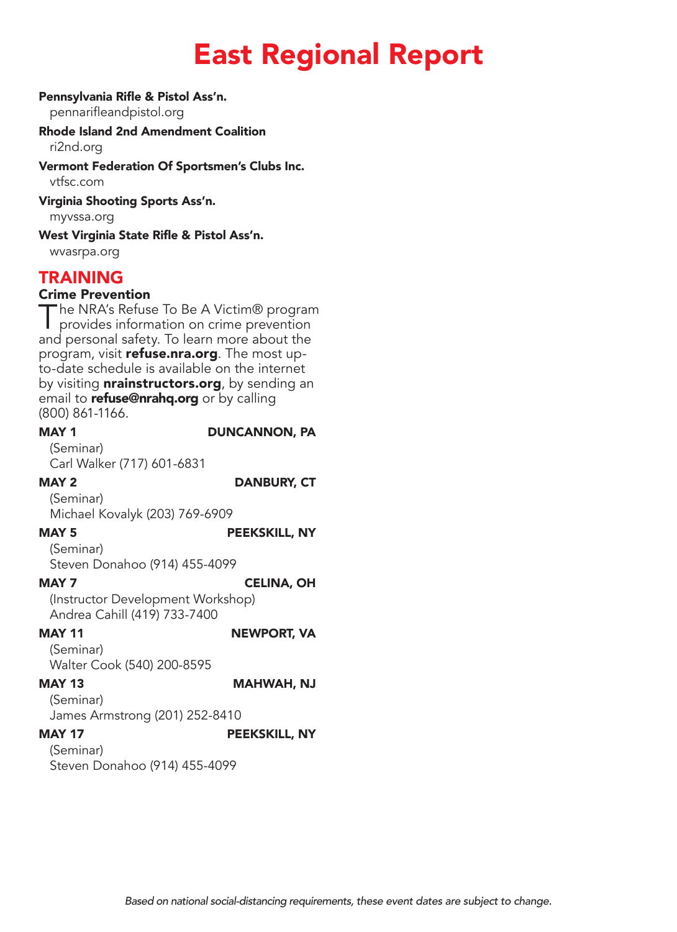## East Regional Report

#### Pennsylvania Rifle & Pistol Ass'n.

[pennarifleandpistol.org](http://pennarifleandpistol.org)

#### Rhode Island 2nd Amendment Coalition [ri2nd.org](http://ri2nd.org)

Vermont Federation Of Sportsmen's Clubs Inc. [vtfsc.com](http://vtfsc.com)

#### Virginia Shooting Sports Ass'n.

[myvssa.org](http://myvssa.org)

West Virginia State Rifle & Pistol Ass'n. [wvasrpa.org](http://wvasrpa.org)

### TRAINING

#### Crime Prevention

The NRA's Refuse To Be A Victim® program<br>
provides information on crime prevention and personal safety. To learn more about the program, visit [refuse.nra.org](http://refuse.nra.org). The most upto-date schedule is available on the internet by visiting **[nrainstructors.org](http://nrainstructors.org)**, by sending an email to **[refuse@nrahq.org](mailto:refuse@nrahq.org)** or by calling (800) 861-1166.

MAY 1 DUNCANNON, PA

(Seminar) Carl Walker (717) 601-6831

MAY 2 DANBURY, CT

#### (Seminar)

Michael Kovalyk (203) 769-6909

MAY 5 PEEKSKILL, NY

(Seminar)

Steven Donahoo (914) 455-4099

#### MAY 7 CELINA, OH

(Instructor Development Workshop) Andrea Cahill (419) 733-7400

#### MAY 11 NEWPORT, VA

(Seminar) Walter Cook (540) 200-8595

MAY 13 MAHWAH, NJ

### (Seminar)

James Armstrong (201) 252-8410

MAY 17 PEEKSKILL, NY

### (Seminar)

Steven Donahoo (914) 455-4099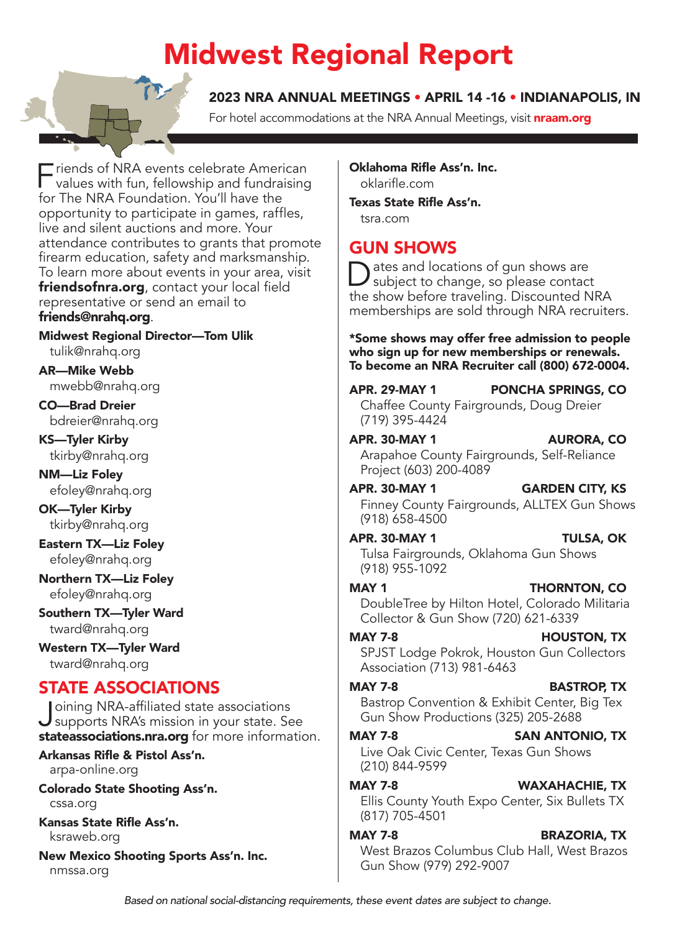## Midwest Regional Report

### 2023 NRA ANNUAL MEETINGS • APRIL 14 -16 • INDIANAPOLIS, IN

For hotel accommodations at the NRA Annual Meetings, visit **[nraam.org](http://nraam.org)** 

Friends of NRA events celebrate American<br>
values with fun, fellowship and fundraising for The NRA Foundation. You'll have the opportunity to participate in games, raffles, live and silent auctions and more. Your attendance contributes to grants that promote firearm education, safety and marksmanship. To learn more about events in your area, visit [friendsofnra.org](http://friendsofnra.org), contact your local field representative or send an email to [friends@nrahq.org](mailto:friends@nrahq.org).

Midwest Regional Director—Tom Ulik [tulik@nrahq.org](mailto:tulik@nrahq.org)

AR—Mike Webb [mwebb@nrahq.org](mailto:mwebb@nrahq.org)

CO—Brad Dreier [bdreier@nrahq.org](mailto:bdreier@nrahq.org)

KS—Tyler Kirby [tkirby@nrahq.org](mailto:tkirby@nrahq.org)

NM—Liz Foley [efoley@nrahq.org](mailto:efoley@nrahq.org)

OK—Tyler Kirby [tkirby@nrahq.org](mailto:tkirby@nrahq.org)

Eastern TX—Liz Foley [efoley@nrahq.org](mailto:efoley@nrahq.org)

Northern TX—Liz Foley [efoley@nrahq.org](mailto:efoley@nrahq.org)

Southern TX—Tyler Ward [tward@nrahq.org](mailto:tward@nrahq.org)

Western TX—Tyler Ward [tward@nrahq.org](mailto:tward@nrahq.org)

### STATE ASSOCIATIONS

Joining NRA-affiliated state associations<br>supports NRA's mission in your state. See [stateassociations.nra.org](http://stateassociations.nra.org) for more information.

Arkansas Rifle & Pistol Ass'n. [arpa-online.org](http://arpa-online.org)

Colorado State Shooting Ass'n. [cssa.org](http://cssa.org)

Kansas State Rifle Ass'n. [ksraweb.org](http://ksraweb.org)

New Mexico Shooting Sports Ass'n. Inc. [nmssa.org](http://nmssa.org)

Oklahoma Rifle Ass'n. Inc. [oklarifle.com](http://oklarifle.com)

Texas State Rifle Ass'n. [tsra.com](http://tsra.com)

### GUN SHOWS

ates and locations of gun shows are subject to change, so please contact the show before traveling. Discounted NRA memberships are sold through NRA recruiters.

\*Some shows may offer free admission to people who sign up for new memberships or renewals. To become an NRA Recruiter call (800) 672-0004.

APR. 29-MAY 1 PONCHA SPRINGS, CO Chaffee County Fairgrounds, Doug Dreier (719) 395-4424

APR. 30-MAY 1 AURORA, CO Arapahoe County Fairgrounds, Self-Reliance Project (603) 200-4089

#### APR. 30-MAY 1 GARDEN CITY, KS Finney County Fairgrounds, ALLTEX Gun Shows

(918) 658-4500

#### APR. 30-MAY 1 TULSA, OK

Tulsa Fairgrounds, Oklahoma Gun Shows (918) 955-1092

#### MAY 1 THORNTON, CO

DoubleTree by Hilton Hotel, Colorado Militaria Collector & Gun Show (720) 621-6339

MAY 7-8 **HOUSTON, TX** SPJST Lodge Pokrok, Houston Gun Collectors Association (713) 981-6463

#### MAY 7-8 BASTROP, TX

Bastrop Convention & Exhibit Center, Big Tex Gun Show Productions (325) 205-2688

#### MAY 7-8 SAN ANTONIO, TX

Live Oak Civic Center, Texas Gun Shows (210) 844-9599

MAY 7-8 WAXAHACHIE, TX

Ellis County Youth Expo Center, Six Bullets TX (817) 705-4501

#### MAY 7-8 BRAZORIA, TX

West Brazos Columbus Club Hall, West Brazos Gun Show (979) 292-9007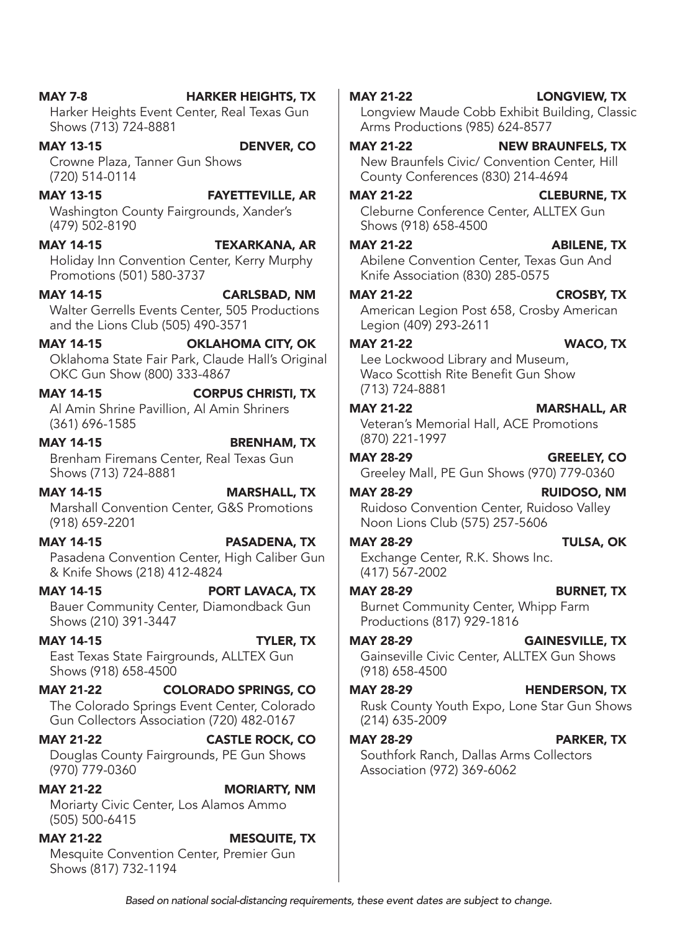East Texas State Fairgrounds, ALLTEX Gun Shows (918) 658-4500 MAY 21-22 COLORADO SPRINGS, CO The Colorado Springs Event Center, Colorado Gun Collectors Association (720) 482-0167 MAY 21-22 CASTLE ROCK, CO Douglas County Fairgrounds, PE Gun Shows (970) 779-0360 MAY 21-22 MORIARTY, NM Moriarty Civic Center, Los Alamos Ammo (505) 500-6415 MAY 21-22 MESQUITE, TX Mesquite Convention Center, Premier Gun Shows (817) 732-1194 (918) 658-4500 (214) 635-2009 MAY 28-29 PARKER, TX Southfork Ranch, Dallas Arms Collectors Association (972) 369-6062

MAY 14-15 PORT LAVACA, TX Bauer Community Center, Diamondback Gun

Shows (210) 391-3447

MAY 14-15 TYLER, TX

Pasadena Convention Center, High Caliber Gun & Knife Shows (218) 412-4824

(918) 659-2201 MAY 14-15 PASADENA, TX

Brenham Firemans Center, Real Texas Gun Shows (713) 724-8881 MAY 14-15 MARSHALL, TX Marshall Convention Center, G&S Promotions

Al Amin Shrine Pavillion, Al Amin Shriners (361) 696-1585 MAY 14-15 BRENHAM, TX

MAY 14-15 OKLAHOMA CITY, OK Oklahoma State Fair Park, Claude Hall's Original OKC Gun Show (800) 333-4867 MAY 14-15 CORPUS CHRISTI, TX

and the Lions Club (505) 490-3571

Promotions (501) 580-3737 MAY 14-15 CARLSBAD, NM Walter Gerrells Events Center, 505 Productions

Holiday Inn Convention Center, Kerry Murphy

(479) 502-8190

MAY 13-15 FAYETTEVILLE, AR Washington County Fairgrounds, Xander's

MAY 7-8 **HARKER HEIGHTS, TX** Harker Heights Event Center, Real Texas Gun

MAY 13-15 DENVER, CO

Crowne Plaza, Tanner Gun Shows

Shows (713) 724-8881

(720) 514-0114

MAY 14-15 TEXARKANA, AR

MAY 21-22 ABILENE, TX Abilene Convention Center, Texas Gun And

Knife Association (830) 285-0575 American Legion Post 658, Crosby American

Legion (409) 293-2611 MAY 21-22 WACO, TX Lee Lockwood Library and Museum,

#### Waco Scottish Rite Benefit Gun Show (713) 724-8881 MAY 21-22 MARSHALL, AR

Arms Productions (985) 624-8577

County Conferences (830) 214-4694

Shows (918) 658-4500

MAY 21-22 NEW BRAUNFELS, TX New Braunfels Civic/ Convention Center, Hill

MAY 21-22 CLEBURNE, TX Cleburne Conference Center, ALLTEX Gun

Veteran's Memorial Hall, ACE Promotions (870) 221-1997

MAY 28-29 GREELEY, CO Greeley Mall, PE Gun Shows (970) 779-0360

MAY 28-29 RUIDOSO, NM Ruidoso Convention Center, Ruidoso Valley Noon Lions Club (575) 257-5606

MAY 28-29 TULSA, OK Exchange Center, R.K. Shows Inc. (417) 567-2002

MAY 28-29 BURNET, TX Burnet Community Center, Whipp Farm Productions (817) 929-1816

MAY 28-29 GAINESVILLE, TX Gainseville Civic Center, ALLTEX Gun Shows

MAY 28-29 **HENDERSON, TX** Rusk County Youth Expo, Lone Star Gun Shows

*Based on national social-distancing requirements, these event dates are subject to change.*

#### MAY 21-22 LONGVIEW, TX Longview Maude Cobb Exhibit Building, Classic

MAY 21-22 CROSBY, TX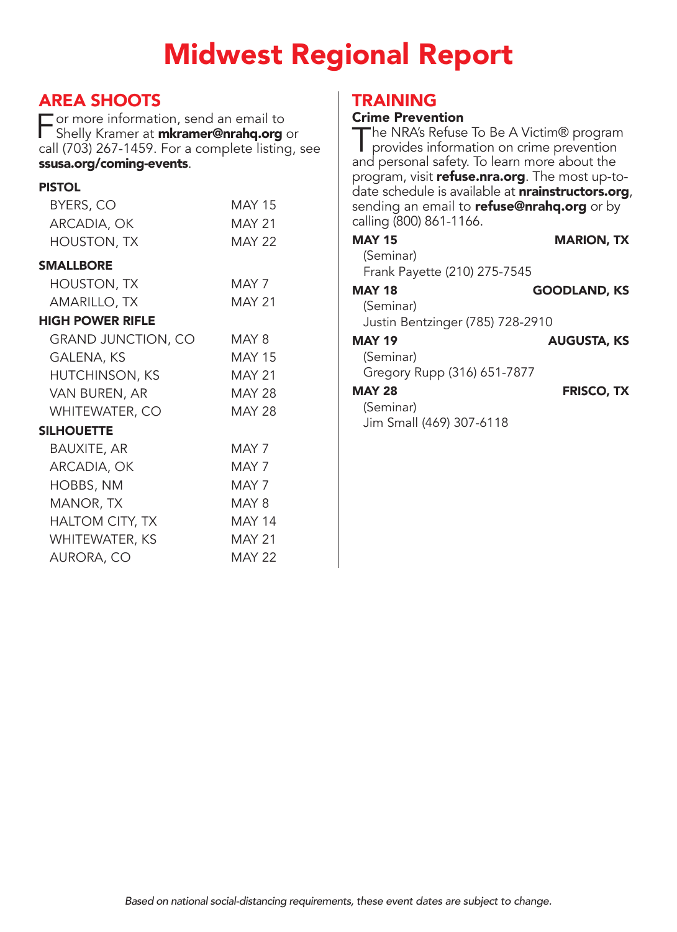## Midwest Regional Report

### AREA SHOOTS

For more informa[tion, send an email to](mailto:mkramer@nrahq.org)<br>Shelly Kramer at **mkramer@nrahq.org** Shelly Kramer at *mkramer@nrahq.org* or call (703) 267-1459. For a complete listing, see [ssusa.org/coming-events](http://ssusa.org/coming-events).

#### PISTOL

| BYERS, CO                 | <b>MAY 15</b> |
|---------------------------|---------------|
| ARCADIA, OK               | <b>MAY 21</b> |
| <b>HOUSTON, TX</b>        | <b>MAY 22</b> |
| <b>SMALLBORE</b>          |               |
| <b>HOUSTON, TX</b>        | MAY 7         |
| AMARILLO, TX              | <b>MAY 21</b> |
| <b>HIGH POWER RIFLE</b>   |               |
| <b>GRAND JUNCTION, CO</b> | MAY 8         |
| GALENA, KS                | <b>MAY 15</b> |
| <b>HUTCHINSON, KS</b>     | <b>MAY 21</b> |
| VAN BUREN, AR             | <b>MAY 28</b> |
| <b>WHITEWATER, CO</b>     | MAY 28        |
| SILHOUETTE                |               |
| <b>BAUXITE, AR</b>        | MAY 7         |
| ARCADIA, OK               | MAY 7         |
| HOBBS, NM                 | MAY 7         |
| MANOR, TX                 | MAY 8         |
| <b>HALTOM CITY, TX</b>    | <b>MAY 14</b> |
| WHITEWATER, KS            | <b>MAY 21</b> |
| AURORA, CO                | MAY 22        |
|                           |               |

### TRAINING

#### Crime Prevention

The NRA's Refuse To Be A Victim® program<br>
provides information on crime prevention and personal safety. To learn more about the program, visit *[refuse.nra.org](http://refuse.nra.org)*. The most up-todate schedule is available at **[nrainstructors.org](http://nrainstructors.org)**, sending an email to [refuse@nrahq.org](mailto:refuse@nrahq.org) or by calling (800) 861-1166.

| MAY 15                           | <b>MARION, TX</b>   |
|----------------------------------|---------------------|
| (Seminar)                        |                     |
| Frank Payette (210) 275-7545     |                     |
| <b>MAY 18</b>                    | <b>GOODLAND, KS</b> |
| (Seminar)                        |                     |
| Justin Bentzinger (785) 728-2910 |                     |
| <b>MAY 19</b>                    | <b>AUGUSTA, KS</b>  |
| (Seminar)                        |                     |
| Gregory Rupp (316) 651-7877      |                     |
| MAY 28                           | <b>FRISCO, TX</b>   |
| (Seminar)                        |                     |
| Jim Small (469) 307-6118         |                     |
|                                  |                     |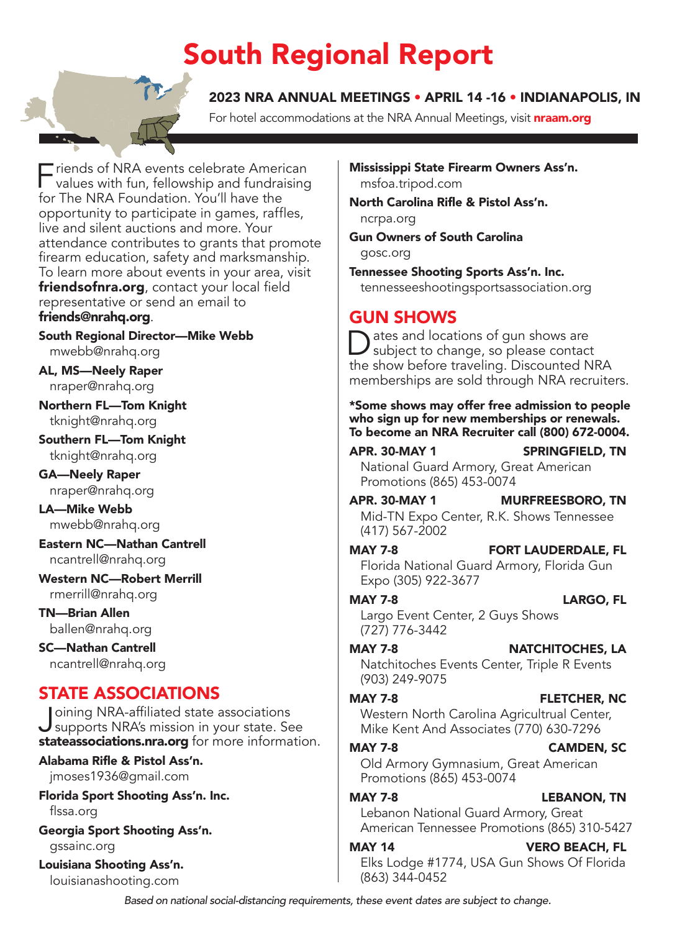## South Regional Report

### 2023 NRA ANNUAL MEETINGS • APRIL 14 -16 • INDIANAPOLIS, IN

For hotel accommodations at the NRA Annual Meetings, visit **[nraam.org](http://nraam.org)** 

 $\equiv$  riends of NRA events celebrate American values with fun, fellowship and fundraising for The NRA Foundation. You'll have the opportunity to participate in games, raffles, live and silent auctions and more. Your attendance contributes to grants that promote firearm education, safety and marksmanship. To learn more about events in your area, visit [friendsofnra.org](http://friendsofnra.org), contact your local field representative or send an email to [friends@nrahq.org](mailto:friends@nrahq.org).

South Regional Director—Mike Webb [mwebb@nrahq.org](mailto:mwebb@nrahq.org)

AL, MS—Neely Raper [nraper@nrahq.org](mailto:nraper@nrahq.org)

Northern FL—Tom Knight [tknight@nrahq.org](mailto:tknight@nrahq.org)

Southern FL—Tom Knight [tknight@nrahq.org](mailto:tknight@nrahq.org)

GA—Neely Raper [nraper@nrahq.org](mailto:nraper@nrahq.org)

LA—Mike Webb [mwebb@nrahq.org](mailto:mwebb@nrahq.org)

Eastern NC—Nathan Cantrell [ncantrell@nrahq.org](mailto:ncantrell@nrahq.org)

Western NC—Robert Merrill [rmerrill@nrahq.org](mailto:rmerrill@nrahq.org)

TN—Brian Allen [ballen@nrahq.org](mailto:ballen@nrahq.org)

SC—Nathan Cantrell [ncantrell@nrahq.org](mailto:ncantrell@nrahq.org)

**STATE ASSOCIATIONS**<br>I Doining NRA-affiliated state associations Joining NRA-affiliated state associations<br>supports NRA's mission in your state. See [stateassociations.nra.org](http://stateassociations.nra.org) for more information.

### Alabama Rifle & Pistol Ass'n.

[jmoses1936@gmail.com](mailto:jmoses1936@gmail.com)

Florida Sport Shooting Ass'n. Inc. [flssa.org](http://flssa.org)

Georgia Sport Shooting Ass'n. [gssainc.org](http://gssainc.org)

Louisiana Shooting Ass'n. [louisianashooting.com](http://louisianashooting.com)

Mississippi State Firearm Owners Ass'n. [msfoa.tripod.com](http://msfoa.tripod.com)

North Carolina Rifle & Pistol Ass'n. [ncrpa.org](http://ncrpa.org)

Gun Owners of South Carolina [gosc.org](http://gosc.org)

Tennessee Shooting Sports Ass'n. Inc. [tennesseeshootingsportsassociation.org](http://tennesseeshootingsportsassociation.org)

### GUN SHOWS

Dates and locations of gun shows are<br>subject to change, so please contact the show before traveling. Discounted NRA memberships are sold through NRA recruiters.

\*Some shows may offer free admission to people who sign up for new memberships or renewals. To become an NRA Recruiter call (800) 672-0004.

APR. 30-MAY 1 SPRINGFIELD, TN National Guard Armory, Great American Promotions (865) 453-0074

APR. 30-MAY 1 MURFREESBORO, TN Mid-TN Expo Center, R.K. Shows Tennessee (417) 567-2002

### MAY 7-8 FORT LAUDERDALE, FL Florida National Guard Armory, Florida Gun

Expo (305) 922-3677 MAY 7-8 LARGO, FL Largo Event Center, 2 Guys Shows

(727) 776-3442

#### MAY 7-8 NATCHITOCHES, LA

Natchitoches Events Center, Triple R Events (903) 249-9075

#### MAY 7-8 FLETCHER, NC

Western North Carolina Agricultrual Center, Mike Kent And Associates (770) 630-7296

#### MAY 7-8 CAMDEN, SC

Old Armory Gymnasium, Great American Promotions (865) 453-0074

#### MAY 7-8 LEBANON, TN

Lebanon National Guard Armory, Great American Tennessee Promotions (865) 310-5427

#### MAY 14 VERO BEACH, FL

Elks Lodge #1774, USA Gun Shows Of Florida (863) 344-0452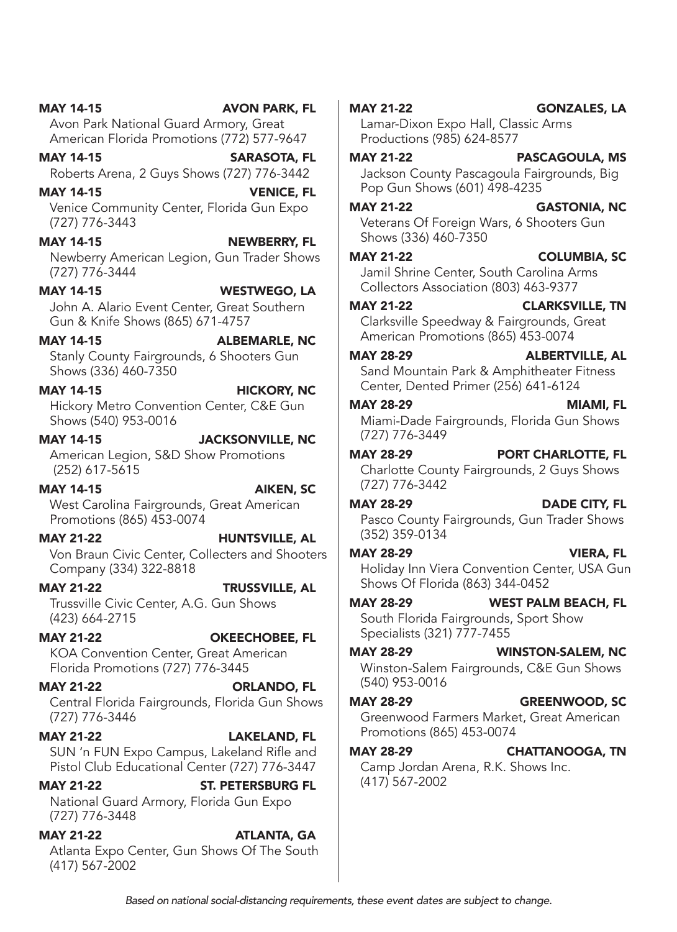MAY 14-15 AVON PARK, FL Avon Park National Guard Armory, Great American Florida Promotions (772) 577-9647 MAY 14-15 SARASOTA, FL Roberts Arena, 2 Guys Shows (727) 776-3442 MAY 14-15 VENICE, FL Venice Community Center, Florida Gun Expo (727) 776-3443 MAY 14-15 NEWBERRY, FL Newberry American Legion, Gun Trader Shows (727) 776-3444 MAY 14-15 WESTWEGO, LA John A. Alario Event Center, Great Southern Gun & Knife Shows (865) 671-4757 MAY 14-15 ALBEMARLE, NC Stanly County Fairgrounds, 6 Shooters Gun Shows (336) 460-7350 MAY 14-15 HICKORY, NC Hickory Metro Convention Center, C&E Gun Shows (540) 953-0016 MAY 14-15 JACKSONVILLE, NC American Legion, S&D Show Promotions (252) 617-5615 MAY 14-15 AIKEN, SC West Carolina Fairgrounds, Great American Promotions (865) 453-0074 MAY 21-22 HUNTSVILLE, AL Von Braun Civic Center, Collecters and Shooters Company (334) 322-8818 MAY 21-22 TRUSSVILLE, AL Trussville Civic Center, A.G. Gun Shows (423) 664-2715 MAY 21-22 OKEECHOBEE, FL KOA Convention Center, Great American Florida Promotions (727) 776-3445 MAY 21-22 ORLANDO, FL Central Florida Fairgrounds, Florida Gun Shows (727) 776-3446 MAY 21-22 LAKELAND, FL SUN 'n FUN Expo Campus, Lakeland Rifle and Pistol Club Educational Center (727) 776-3447 MAY 21-22 ST. PETERSBURG FL National Guard Armory, Florida Gun Expo (727) 776-3448 MAY 21-22 ATLANTA, GA

Atlanta Expo Center, Gun Shows Of The South (417) 567-2002

MAY 21-22 GONZALES, LA Lamar-Dixon Expo Hall, Classic Arms Productions (985) 624-8577 MAY 21-22 PASCAGOULA, MS

Jackson County Pascagoula Fairgrounds, Big Pop Gun Shows (601) 498-4235

#### MAY 21-22 GASTONIA, NC

Veterans Of Foreign Wars, 6 Shooters Gun Shows (336) 460-7350

MAY 21-22 COLUMBIA, SC

Jamil Shrine Center, South Carolina Arms Collectors Association (803) 463-9377

MAY 21-22 CLARKSVILLE, TN Clarksville Speedway & Fairgrounds, Great

American Promotions (865) 453-0074

MAY 28-29 ALBERTVILLE, AL

Sand Mountain Park & Amphitheater Fitness Center, Dented Primer (256) 641-6124

#### MAY 28-29 MIAMI, FL

Miami-Dade Fairgrounds, Florida Gun Shows (727) 776-3449

MAY 28-29 PORT CHARLOTTE, FL Charlotte County Fairgrounds, 2 Guys Shows (727) 776-3442

MAY 28-29 DADE CITY, FL Pasco County Fairgrounds, Gun Trader Shows (352) 359-0134

MAY 28-29 VIERA, FL Holiday Inn Viera Convention Center, USA Gun Shows Of Florida (863) 344-0452

MAY 28-29 WEST PALM BEACH, FL South Florida Fairgrounds, Sport Show Specialists (321) 777-7455

MAY 28-29 WINSTON-SALEM, NC Winston-Salem Fairgrounds, C&E Gun Shows (540) 953-0016

MAY 28-29 GREENWOOD, SC Greenwood Farmers Market, Great American Promotions (865) 453-0074

MAY 28-29 CHATTANOOGA, TN Camp Jordan Arena, R.K. Shows Inc. (417) 567-2002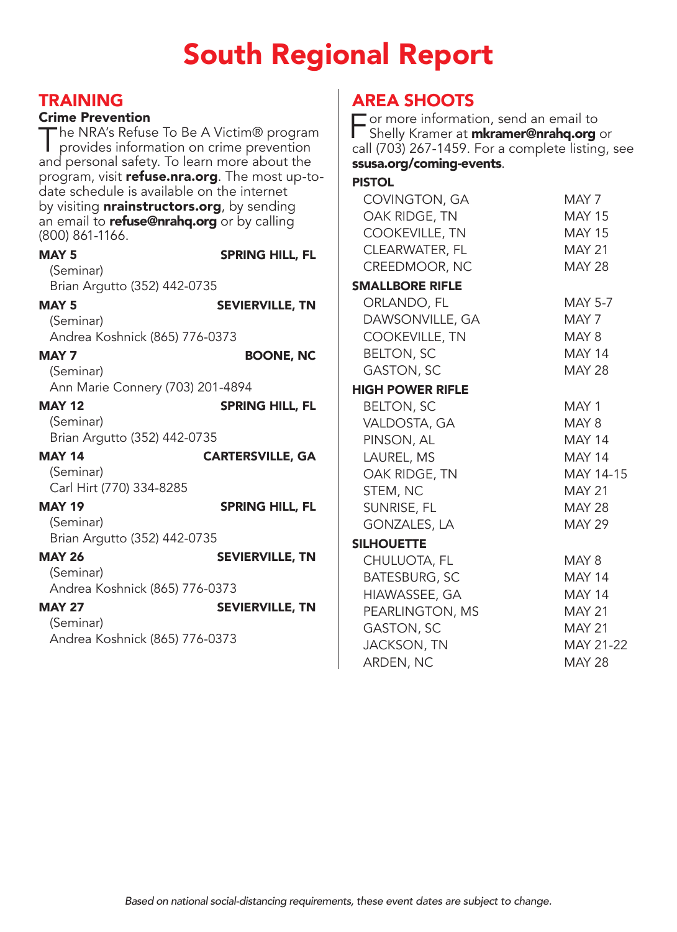## South Regional Report

| <b>TRAINING</b><br><b>Crime Prevention</b><br>date schedule is available on the internet<br>(800) 861-1166. | The NRA's Refuse To Be A Victim® program<br>provides information on crime prevention<br>and personal safety. To learn more about the<br>program, visit refuse.nra.org. The most up-to-<br>by visiting <b>nrainstructors.org</b> , by sending<br>an email to <b>refuse@nrahq.org</b> or by calling | <b>AREA SHOOTS</b><br>$\Box$ or more information, send an email to<br>Shelly Kramer at <b>mkramer@nrahq.org</b> or<br>call (703) 267-1459. For a complete listing, see<br>ssusa.org/coming-events.<br><b>PISTOL</b><br>COVINGTON, GA<br>OAK RIDGE, TN<br>COOKEVILLE, TN | MAY 7<br><b>MAY 15</b><br><b>MAY 15</b>                      |
|-------------------------------------------------------------------------------------------------------------|---------------------------------------------------------------------------------------------------------------------------------------------------------------------------------------------------------------------------------------------------------------------------------------------------|-------------------------------------------------------------------------------------------------------------------------------------------------------------------------------------------------------------------------------------------------------------------------|--------------------------------------------------------------|
| MAY <sub>5</sub><br>(Seminar)<br>Brian Argutto (352) 442-0735                                               | <b>SPRING HILL, FL</b>                                                                                                                                                                                                                                                                            | CLEARWATER, FL<br>CREEDMOOR, NC<br><b>SMALLBORE RIFLE</b>                                                                                                                                                                                                               | <b>MAY 21</b><br><b>MAY 28</b>                               |
| MAY <sub>5</sub><br>(Seminar)<br>Andrea Koshnick (865) 776-0373<br>MAY <sub>7</sub>                         | <b>SEVIERVILLE, TN</b><br><b>BOONE, NC</b>                                                                                                                                                                                                                                                        | ORLANDO, FL<br>DAWSONVILLE, GA<br>COOKEVILLE, TN<br><b>BELTON, SC</b>                                                                                                                                                                                                   | <b>MAY 5-7</b><br>MAY 7<br>MAY 8<br><b>MAY 14</b>            |
| (Seminar)<br>Ann Marie Connery (703) 201-4894                                                               |                                                                                                                                                                                                                                                                                                   | <b>GASTON, SC</b><br><b>HIGH POWER RIFLE</b>                                                                                                                                                                                                                            | <b>MAY 28</b>                                                |
| <b>MAY 12</b><br>(Seminar)<br>Brian Argutto (352) 442-0735                                                  | <b>SPRING HILL, FL</b>                                                                                                                                                                                                                                                                            | <b>BELTON, SC</b><br>VALDOSTA, GA<br>PINSON, AL                                                                                                                                                                                                                         | MAY 1<br>MAY 8<br><b>MAY 14</b>                              |
| <b>MAY 14</b><br>(Seminar)<br>Carl Hirt (770) 334-8285                                                      | <b>CARTERSVILLE, GA</b>                                                                                                                                                                                                                                                                           | LAUREL, MS<br>OAK RIDGE, TN<br>STEM, NC                                                                                                                                                                                                                                 | <b>MAY 14</b><br>MAY 14-15<br><b>MAY 21</b>                  |
| <b>MAY 19</b><br>(Seminar)<br>Brian Argutto (352) 442-0735                                                  | <b>SPRING HILL, FL</b>                                                                                                                                                                                                                                                                            | SUNRISE, FL<br><b>GONZALES, LA</b><br><b>SILHOUETTE</b>                                                                                                                                                                                                                 | <b>MAY 28</b><br><b>MAY 29</b>                               |
| <b>MAY 26</b><br>(Seminar)<br>Andrea Koshnick (865) 776-0373                                                | <b>SEVIERVILLE, TN</b>                                                                                                                                                                                                                                                                            | CHULUOTA, FL<br><b>BATESBURG, SC</b><br>HIAWASSEE, GA                                                                                                                                                                                                                   | MAY 8<br><b>MAY 14</b><br><b>MAY 14</b>                      |
| <b>MAY 27</b><br>(Seminar)<br>Andrea Koshnick (865) 776-0373                                                | <b>SEVIERVILLE, TN</b>                                                                                                                                                                                                                                                                            | PEARLINGTON, MS<br><b>GASTON, SC</b><br><b>JACKSON, TN</b><br>ARDEN, NC                                                                                                                                                                                                 | <b>MAY 21</b><br><b>MAY 21</b><br>MAY 21-22<br><b>MAY 28</b> |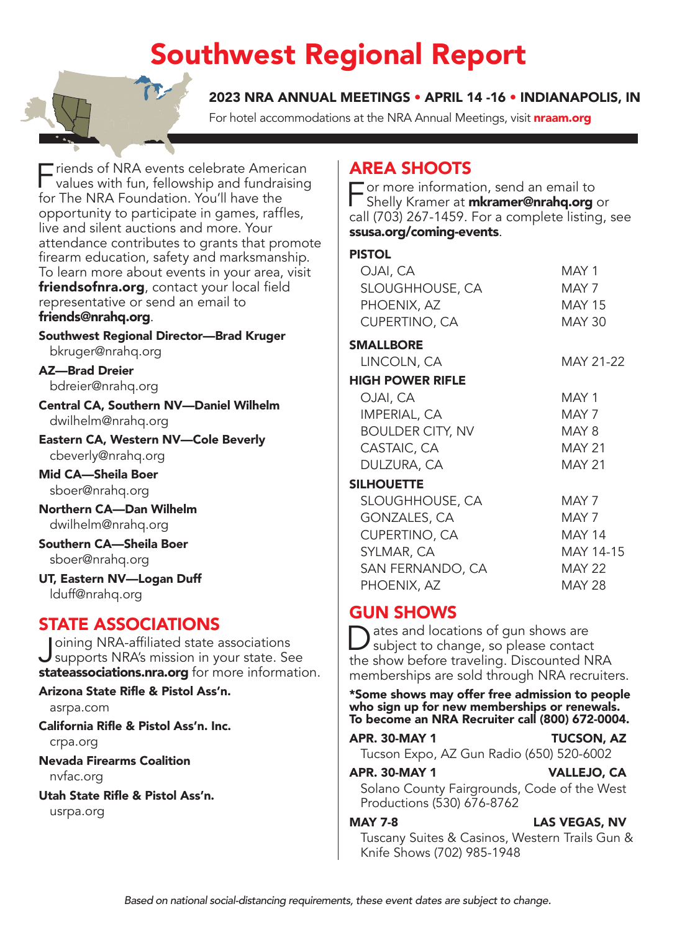## Southwest Regional Report

2023 NRA ANNUAL MEETINGS • APRIL 14 -16 • INDIANAPOLIS, IN

For hotel accommodations at the NRA Annual Meetings, visit **[nraam.org](http://nraam.org)** 

Friends of NRA events celebrate American<br>
values with fun, fellowship and fundraising for The NRA Foundation. You'll have the opportunity to participate in games, raffles, live and silent auctions and more. Your attendance contributes to grants that promote firearm education, safety and marksmanship. To learn more about events in your area, visit [friendsofnra.org](http://friendsofnra.org), contact your local field representative or send an email to [friends@nrahq.org](mailto:friends@nrahq.org).

Southwest Regional Director—Brad Kruger [bkruger@nrahq.org](mailto:bkruger@nrahq.org)

AZ—Brad Dreier [bdreier@nrahq.org](mailto:bdreier@nrahq.org)

Central CA, Southern NV—Daniel Wilhelm [dwilhelm@nrahq.org](mailto:dwilhelm@nrahq.org)

Eastern CA, Western NV—Cole Beverly [cbeverly@nrahq.org](mailto:cbeverly@nrahq.org)

Mid CA—Sheila Boer [sboer@nrahq.org](mailto:sboer@nrahq.org)

Northern CA—Dan Wilhelm [dwilhelm@nrahq.org](mailto:dwilhelm@nrahq.org)

Southern CA—Sheila Boer [sboer@nrahq.org](mailto:sboer@nrahq.org)

UT, Eastern NV—Logan Duff [lduff@nrahq.org](mailto:lduff@nrahq.org)

### STATE ASSOCIATIONS

Joining NRA-affiliated state associations supports NRA's mission in your state. See [stateassociations.nra.org](http://stateassociations.nra.org) for more information.

#### Arizona State Rifle & Pistol Ass'n.

[asrpa.com](http://asrpa.com)

California Rifle & Pistol Ass'n. Inc.

[crpa.org](http://crpa.org)

Nevada Firearms Coalition [nvfac.org](http://nvfac.org)

#### Utah State Rifle & Pistol Ass'n.

[usrpa.org](http://usrpa.org)

### AREA SHOOTS

 $\equiv$  or more informa[tion, send an email to](mailto:mkramer@nrahq.org) Shelly Kramer at *mkramer@nrahq.org* or call (703) 267-1459. For a complete listing, see [ssusa.org/coming-events](http://ssusa.org/coming-events).

#### PISTOL

| OJAI, CA                | MAY 1         |
|-------------------------|---------------|
| SLOUGHHOUSE, CA         | MAY 7         |
| PHOENIX, AZ             | <b>MAY 15</b> |
| <b>CUPERTINO, CA</b>    | MAY 30        |
| SMALLBORE               |               |
| LINCOLN, CA             | MAY 21-22     |
| <b>HIGH POWER RIFLE</b> |               |
| OJAI, CA                | MAY 1         |
| <b>IMPERIAL, CA</b>     | MAY 7         |
| <b>BOULDER CITY, NV</b> | MAY 8         |
| CASTAIC, CA             | <b>MAY 21</b> |
| DULZURA, CA             | <b>MAY 21</b> |
| <b>SILHOUETTE</b>       |               |
| SLOUGHHOUSE, CA         | MAY 7         |
| GONZALES, CA            | MAY 7         |
| <b>CUPERTINO, CA</b>    | <b>MAY 14</b> |
| SYLMAR, CA              | MAY 14-15     |
| SAN FERNANDO, CA        | <b>MAY 22</b> |
| PHOENIX, AZ             | <b>MAY 28</b> |

### GUN SHOWS

ates and locations of gun shows are subject to change, so please contact the show before traveling. Discounted NRA memberships are sold through NRA recruiters.

\*Some shows may offer free admission to people who sign up for new memberships or renewals. To become an NRA Recruiter call (800) 672-0004.

APR. 30-MAY 1 TUCSON, AZ

Tucson Expo, AZ Gun Radio (650) 520-6002

#### APR. 30-MAY 1 VALLEJO, CA

Solano County Fairgrounds, Code of the West Productions (530) 676-8762

#### MAY 7-8 LAS VEGAS, NV

Tuscany Suites & Casinos, Western Trails Gun & Knife Shows (702) 985-1948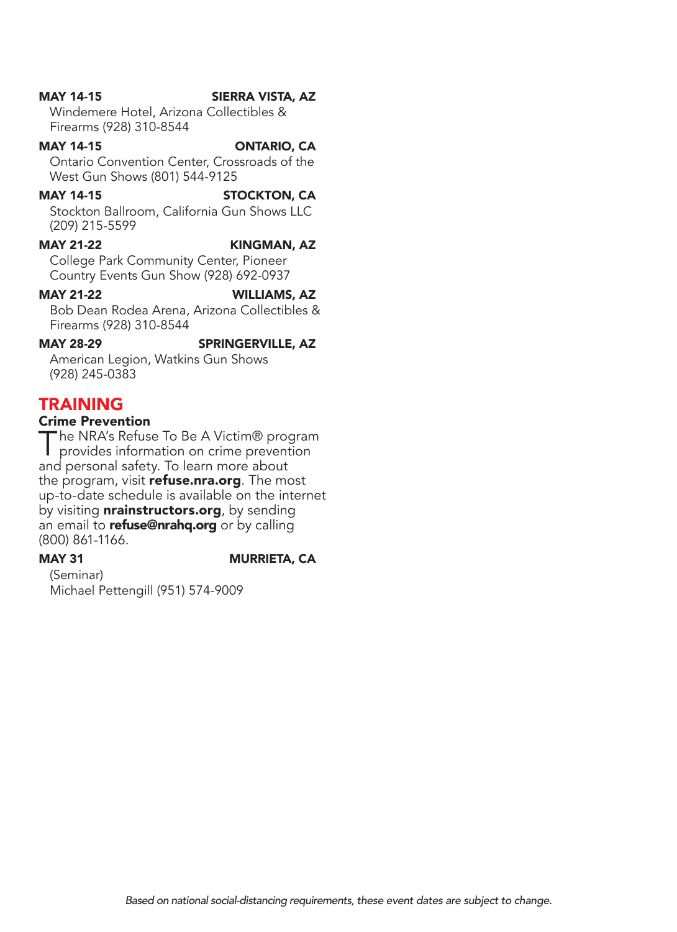#### MAY 14-15 SIERRA VISTA, AZ

Windemere Hotel, Arizona Collectibles & Firearms (928) 310-8544

#### MAY 14-15 ONTARIO, CA

Ontario Convention Center, Crossroads of the West Gun Shows (801) 544-9125

#### MAY 14-15 STOCKTON, CA

Stockton Ballroom, California Gun Shows LLC (209) 215-5599

#### MAY 21-22 KINGMAN, AZ

College Park Community Center, Pioneer Country Events Gun Show (928) 692-0937

#### MAY 21-22 WILLIAMS, AZ

Bob Dean Rodea Arena, Arizona Collectibles & Firearms (928) 310-8544

#### MAY 28-29 SPRINGERVILLE, AZ

American Legion, Watkins Gun Shows (928) 245-0383

#### TRAINING

#### Crime Prevention

The NRA's Refuse To Be A Victim® program<br>
provides information on crime prevention and personal safety. To learn more about the program, visit [refuse.nra.org](http://refuse.nra.org). The most up-to-date schedule is available on the internet by visiting **[nrainstructors.org](http://nrainstructors.org)**, by sending an email to **[refuse@nrahq.org](mailto:refuse@nrahq.org)** or by calling (800) 861-1166.

#### MAY 31 MURRIETA, CA

(Seminar) Michael Pettengill (951) 574-9009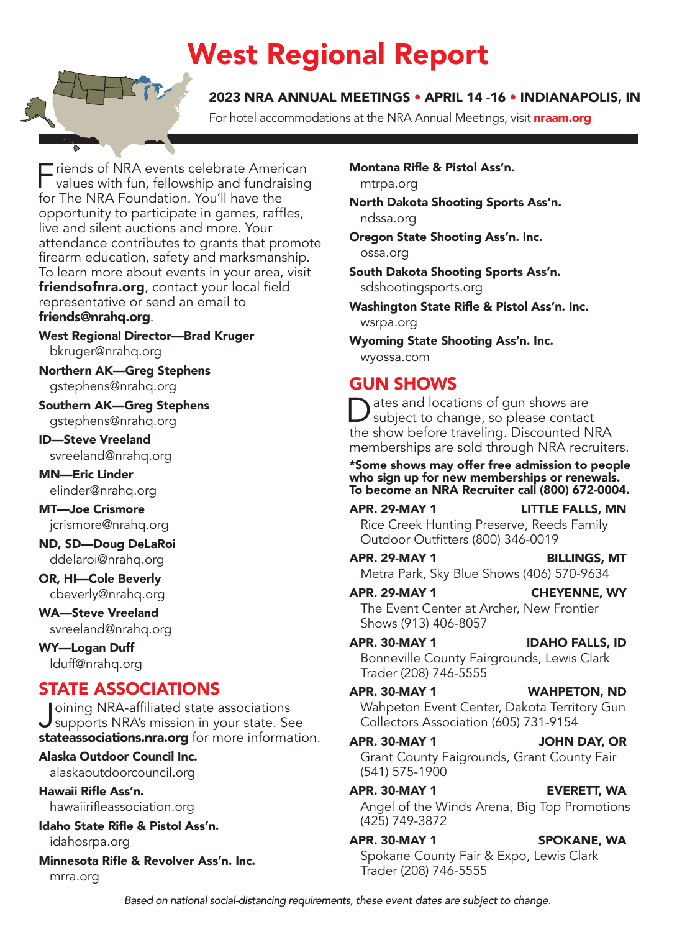## West Regional Report

#### 2023 NRA ANNUAL MEETINGS • APRIL 14 -16 • INDIANAPOLIS, IN

For hotel accommodations at the NRA Annual Meetings, visit **[nraam.org](http://nraam.org)** 

Friends of NRA events celebrate American<br>
values with fun, fellowship and fundraising for The NRA Foundation. You'll have the opportunity to participate in games, raffles, live and silent auctions and more. Your attendance contributes to grants that promote firearm education, safety and marksmanship. To learn more about events in your area, visit [friendsofnra.org](http://friendsofnra.org), contact your local field representative or send an email to [friends@nrahq.org](mailto:friends@nrahq.org).

West Regional Director—Brad Kruger [bkruger@nrahq.org](mailto:bkruger@nrahq.org)

Northern AK—Greg Stephens [gstephens@nrahq.org](mailto:gstephens@nrahq.org)

Southern AK—Greg Stephens [gstephens@nrahq.org](mailto:gstephens@nrahq.org)

ID—Steve Vreeland [svreeland@nrahq.org](mailto:svreeland@nrahq.org)

MN—Eric Linder [elinder@nrahq.org](mailto:elinder@nrahq.org)

MT—Joe Crismore [jcrismore@nrahq.org](mailto:jcrismore@nrahq.org)

ND, SD—Doug DeLaRoi [ddelaroi@nrahq.org](mailto:ddelaroi@nrahq.org)

OR, HI—Cole Beverly [cbeverly@nrahq.org](mailto:cbeverly@nrahq.org)

WA—Steve Vreeland [svreeland@nrahq.org](mailto:svreeland@nrahq.org)

WY—Logan Duff [lduff@nrahq.org](mailto:lduff@nrahq.org)

### STATE ASSOCIATIONS

Joining NRA-affiliated state associations<br>supports NRA's mission in your state. See [stateassociations.nra.org](http://stateassociations.nra.org) for more information.

Alaska Outdoor Council Inc. [alaskaoutdoorcouncil.org](http://alaskaoutdoorcouncil.org)

Hawaii Rifle Ass'n. [hawaiirifleassociation.org](http://hawaiirifleassociation.org)

Idaho State Rifle & Pistol Ass'n. [idahosrpa.org](http://idahosrpa.org)

Minnesota Rifle & Revolver Ass'n. Inc. [mrra.org](http://mrra.org)

Montana Rifle & Pistol Ass'n. [mtrpa.org](http://mtrpa.org)

North Dakota Shooting Sports Ass'n. [ndssa.org](http://ndssa.org)

Oregon State Shooting Ass'n. Inc. [ossa.org](http://ossa.org)

South Dakota Shooting Sports Ass'n. [sdshootingsports.org](http://sdshootingsports.org)

Washington State Rifle & Pistol Ass'n. Inc. [wsrpa.org](http://wsrpa.org)

Wyoming State Shooting Ass'n. Inc. [wyossa.com](http://wyossa.com)

### GUN SHOWS

Dates and locations of gun shows are<br>subject to change, so please contact the show before traveling. Discounted NRA memberships are sold through NRA recruiters.

\*Some shows may offer free admission to people who sign up for new memberships or renewals. To become an NRA Recruiter call (800) 672-0004.

APR. 29-MAY 1 LITTLE FALLS, MN Rice Creek Hunting Preserve, Reeds Family Outdoor Outfitters (800) 346-0019

APR. 29-MAY 1 BILLINGS, MT Metra Park, Sky Blue Shows (406) 570-9634

APR. 29-MAY 1 CHEYENNE, WY The Event Center at Archer, New Frontier Shows (913) 406-8057

APR. 30-MAY 1 IDAHO FALLS, ID Bonneville County Fairgrounds, Lewis Clark Trader (208) 746-5555

APR. 30-MAY 1 WAHPETON, ND Wahpeton Event Center, Dakota Territory Gun Collectors Association (605) 731-9154

APR. 30-MAY 1 JOHN DAY, OR Grant County Faigrounds, Grant County Fair (541) 575-1900

APR. 30-MAY 1 EVERETT, WA Angel of the Winds Arena, Big Top Promotions (425) 749-3872

APR. 30-MAY 1 SPOKANE, WA Spokane County Fair & Expo, Lewis Clark Trader (208) 746-5555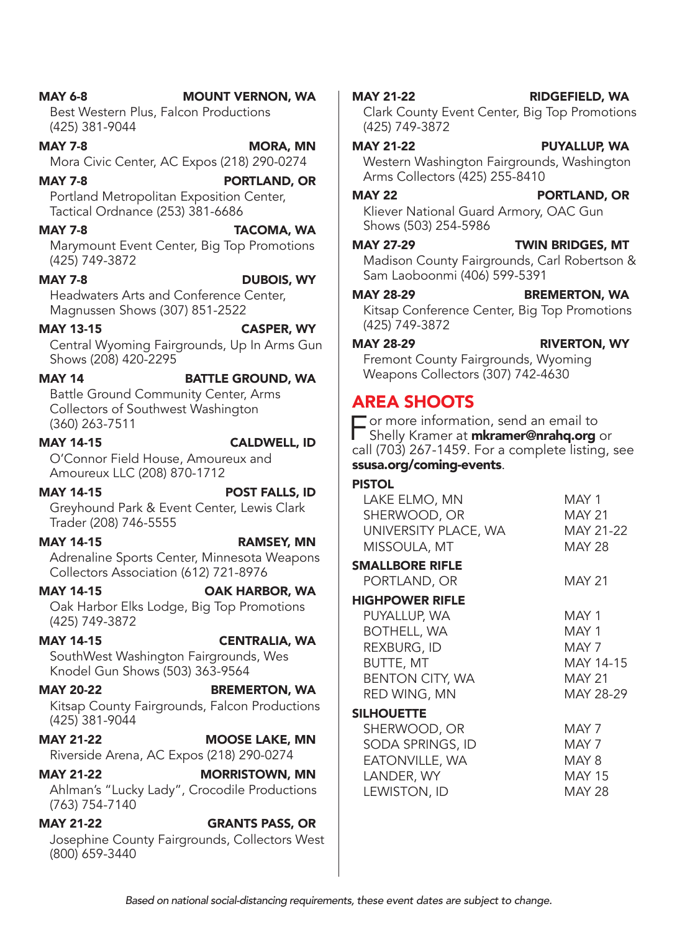| <b>MAY 20-22</b>                       | <b>BREMERTON, WA</b>                                                    | RED WING, MN                         |
|----------------------------------------|-------------------------------------------------------------------------|--------------------------------------|
| (425) 381-9044                         | Kitsap County Fairgrounds, Falcon Productions                           | <b>SILHOUETTE</b><br>SHERWOOD, O     |
| <b>MAY 21-22</b>                       | <b>MOOSE LAKE, MN</b><br>Riverside Arena, AC Expos (218) 290-0274       | <b>SODA SPRINGS</b><br>EATONVILLE, W |
| <b>MAY 21-22</b><br>$(763) 754 - 7140$ | <b>MORRISTOWN, MN</b><br>Ahlman's "Lucky Lady", Crocodile Productions   | LANDER, WY<br>LEWISTON, ID           |
| <b>MAY 21-22</b><br>(800) 659-3440     | <b>GRANTS PASS, OR</b><br>Josephine County Fairgrounds, Collectors West |                                      |

MAY 14 BATTLE GROUND, WA Battle Ground Community Center, Arms Collectors of Southwest Washington (360) 263-7511 MAY 14-15 CALDWELL, ID Amoureux LLC (208) 870-1712

Shows (208) 420-2295

(425) 749-3872 Headwaters Arts and Conference Center, Magnussen Shows (307) 851-2522

#### MAY 7-8 MORA, MN Mora Civic Center, AC Expos (218) 290-0274 MAY 7-8 PORTLAND, OR

MAY 6-8 MOUNT VERNON, WA Best Western Plus, Falcon Productions

Portland Metropolitan Exposition Center, Tactical Ordnance (253) 381-6686

### MAY 7-8 TACOMA, WA Marymount Event Center, Big Top Promotions

(425) 381-9044

## MAY 7-8 DUBOIS, WY

## MAY 13-15 CASPER, WY

Central Wyoming Fairgrounds, Up In Arms Gun

## O'Connor Field House, Amoureux and

MAY 14-15 POST FALLS, ID Greyhound Park & Event Center, Lewis Clark Trader (208) 746-5555

#### MAY 14-15 RAMSEY, MN Adrenaline Sports Center, Minnesota Weapons Collectors Association (612) 721-8976

MAY 14-15 OAK HARBOR, WA Oak Harbor Elks Lodge, Big Top Promotions (425) 749-3872

### MAY 14-15 CENTRALIA, WA SouthWest Washington Fairgrounds, Wes

MAY 20-22 BREMERTON, WA Kitsap County Fairgrounds, Falcon Productions  $(425)$ 

### **MAY 21 Rivers**

## Knodel Gun Shows (503) 363-9564

#### MAY 21-22 RIDGEFIELD, WA Clark County Event Center, Big Top Promotions (425) 749-3872

### MAY 21-22 PUYALLUP, WA

Western Washington Fairgrounds, Washington Arms Collectors (425) 255-8410

### MAY 22 PORTLAND, OR

Kliever National Guard Armory, OAC Gun Shows (503) 254-5986

### MAY 27-29 TWIN BRIDGES, MT

Madison County Fairgrounds, Carl Robertson & Sam Laoboonmi (406) 599-5391

### MAY 28-29 BREMERTON, WA

Kitsap Conference Center, Big Top Promotions (425) 749-3872

MAY 28-29 RIVERTON, WY

Fremont County Fairgrounds, Wyoming Weapons Collectors (307) 742-4630

### AREA SHOOTS

 $\overline{\phantom{a}}$  or more informa[tion, send an email to](mailto:mkramer@nrahq.org) Shelly Kramer at **mkramer@nrahq.org** or call (703) 267-1459. For a complete listing, see [ssusa.org/coming-events](http://ssusa.org/coming-events).

### PISTOL

| LAKE ELMO, MN          | MAY 1         |
|------------------------|---------------|
| SHERWOOD, OR           | <b>MAY 21</b> |
| UNIVERSITY PLACE, WA   | MAY 21-22     |
| MISSOULA, MT           | <b>MAY 28</b> |
| <b>SMALLBORE RIFLE</b> |               |
| PORTLAND, OR           | <b>MAY 21</b> |
| <b>HIGHPOWER RIFLE</b> |               |
| PUYALLUP, WA           | MAY 1         |
| <b>BOTHELL, WA</b>     | MAY 1         |
| REXBURG, ID            | MAY 7         |
| BUTTE, MT              | MAY 14-15     |
| <b>BENTON CITY, WA</b> | <b>MAY 21</b> |
| RED WING, MN           | MAY 28-29     |
| SILHOUETTE             |               |
| SHERWOOD, OR           | MAY 7         |
| SODA SPRINGS, ID       | MAY 7         |
| EATONVILLE, WA         | MAY 8         |
| LANDER, WY             | <b>MAY 15</b> |
| LEWISTON, ID           | <b>MAY 28</b> |
|                        |               |